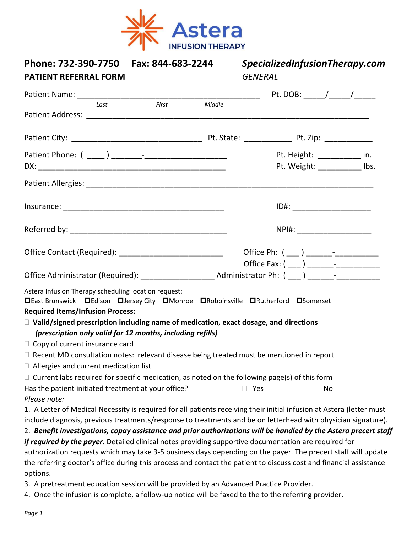

| Phone: 732-390-7750    Fax: 844-683-2244<br><b>PATIENT REFERRAL FORM</b>                                                                                                                   |                                         | SpecializedInfusionTherapy.com<br><b>GENERAL</b> |                                |  |  |
|--------------------------------------------------------------------------------------------------------------------------------------------------------------------------------------------|-----------------------------------------|--------------------------------------------------|--------------------------------|--|--|
|                                                                                                                                                                                            | <u> 1980 - Johann Barbara, martin d</u> |                                                  |                                |  |  |
| First<br>Last                                                                                                                                                                              | Middle                                  |                                                  |                                |  |  |
|                                                                                                                                                                                            |                                         |                                                  |                                |  |  |
|                                                                                                                                                                                            |                                         |                                                  |                                |  |  |
|                                                                                                                                                                                            |                                         |                                                  | Pt. Height: in.                |  |  |
|                                                                                                                                                                                            |                                         |                                                  | Pt. Weight: ____________ lbs.  |  |  |
|                                                                                                                                                                                            |                                         |                                                  |                                |  |  |
|                                                                                                                                                                                            |                                         |                                                  | ID#: _________________________ |  |  |
|                                                                                                                                                                                            |                                         |                                                  | NPI#: _____________________    |  |  |
| Office Contact (Required): _____________________________                                                                                                                                   |                                         |                                                  |                                |  |  |
|                                                                                                                                                                                            |                                         |                                                  |                                |  |  |
|                                                                                                                                                                                            |                                         |                                                  |                                |  |  |
| Astera Infusion Therapy scheduling location request:<br><b>□East Brunswick □Edison □Jersey City □Monroe □Robbinsville □Rutherford □Somerset</b><br><b>Required Items/Infusion Process:</b> |                                         |                                                  |                                |  |  |
| $\Box$ Valid/signed prescription including name of medication, exact dosage, and directions                                                                                                |                                         |                                                  |                                |  |  |
| (prescription only valid for 12 months, including refills)                                                                                                                                 |                                         |                                                  |                                |  |  |
| $\Box$ Copy of current insurance card                                                                                                                                                      |                                         |                                                  |                                |  |  |
| $\Box$ Recent MD consultation notes: relevant disease being treated must be mentioned in report                                                                                            |                                         |                                                  |                                |  |  |
| $\Box$ Allergies and current medication list<br>$\Box$ Current labs required for specific medication, as noted on the following page(s) of this form                                       |                                         |                                                  |                                |  |  |
| Has the patient initiated treatment at your office?                                                                                                                                        |                                         | Yes                                              | $\Box$ No                      |  |  |
| Please note:                                                                                                                                                                               |                                         |                                                  |                                |  |  |
| 1. A Letter of Medical Necessity is required for all patients receiving their initial infusion at Astera (letter must                                                                      |                                         |                                                  |                                |  |  |
| include diagnosis, previous treatments/response to treatments and be on letterhead with physician signature).                                                                              |                                         |                                                  |                                |  |  |
| 2. Benefit investigations, copay assistance and prior authorizations will be handled by the Astera precert staff                                                                           |                                         |                                                  |                                |  |  |
| if required by the payer. Detailed clinical notes providing supportive documentation are required for                                                                                      |                                         |                                                  |                                |  |  |
| authorization requests which may take 3-5 business days depending on the payer. The precert staff will update                                                                              |                                         |                                                  |                                |  |  |
| the referring doctor's office during this process and contact the patient to discuss cost and financial assistance<br>options.                                                             |                                         |                                                  |                                |  |  |
| 3. A pretreatment education session will be provided by an Advanced Practice Provider.                                                                                                     |                                         |                                                  |                                |  |  |

4. Once the infusion is complete, a follow-up notice will be faxed to the to the referring provider.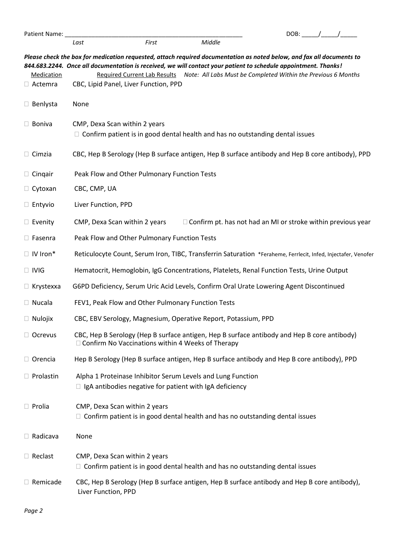| Patient Name: _                     |                                                                                                                                                                                                                                                                                   |       |                                                                                            | DOB: $/$ / |  |
|-------------------------------------|-----------------------------------------------------------------------------------------------------------------------------------------------------------------------------------------------------------------------------------------------------------------------------------|-------|--------------------------------------------------------------------------------------------|------------|--|
|                                     | Last                                                                                                                                                                                                                                                                              | First | Middle                                                                                     |            |  |
| <b>Medication</b><br>$\Box$ Actemra | Please check the box for medication requested, attach required documentation as noted below, and fax all documents to<br>844.683.2244. Once all documentation is received, we will contact your patient to schedule appointment. Thanks!<br>CBC, Lipid Panel, Liver Function, PPD |       | Required Current Lab Results Note: All Labs Must be Completed Within the Previous 6 Months |            |  |
| $\Box$ Benlysta                     | None                                                                                                                                                                                                                                                                              |       |                                                                                            |            |  |
| $\Box$ Boniva                       | CMP, Dexa Scan within 2 years<br>$\Box$ Confirm patient is in good dental health and has no outstanding dental issues                                                                                                                                                             |       |                                                                                            |            |  |
| $\Box$ Cimzia                       | CBC, Hep B Serology (Hep B surface antigen, Hep B surface antibody and Hep B core antibody), PPD                                                                                                                                                                                  |       |                                                                                            |            |  |
| $\Box$ Cingair                      | Peak Flow and Other Pulmonary Function Tests                                                                                                                                                                                                                                      |       |                                                                                            |            |  |
| $\Box$ Cytoxan                      | CBC, CMP, UA                                                                                                                                                                                                                                                                      |       |                                                                                            |            |  |
| $\Box$ Entyvio                      | Liver Function, PPD                                                                                                                                                                                                                                                               |       |                                                                                            |            |  |
| $\Box$ Evenity                      | CMP, Dexa Scan within 2 years                                                                                                                                                                                                                                                     |       | $\Box$ Confirm pt. has not had an MI or stroke within previous year                        |            |  |
| $\Box$ Fasenra                      | Peak Flow and Other Pulmonary Function Tests                                                                                                                                                                                                                                      |       |                                                                                            |            |  |
| $\Box$ IV Iron*                     | Reticulocyte Count, Serum Iron, TIBC, Transferrin Saturation *Feraheme, Ferrlecit, Infed, Injectafer, Venofer                                                                                                                                                                     |       |                                                                                            |            |  |
| $\Box$ IVIG                         | Hematocrit, Hemoglobin, IgG Concentrations, Platelets, Renal Function Tests, Urine Output                                                                                                                                                                                         |       |                                                                                            |            |  |
| $\Box$ Krystexxa                    | G6PD Deficiency, Serum Uric Acid Levels, Confirm Oral Urate Lowering Agent Discontinued                                                                                                                                                                                           |       |                                                                                            |            |  |
| $\Box$ Nucala                       | FEV1, Peak Flow and Other Pulmonary Function Tests                                                                                                                                                                                                                                |       |                                                                                            |            |  |
| $\Box$ Nulojix                      | CBC, EBV Serology, Magnesium, Operative Report, Potassium, PPD                                                                                                                                                                                                                    |       |                                                                                            |            |  |
| $\Box$ Ocrevus                      | CBC, Hep B Serology (Hep B surface antigen, Hep B surface antibody and Hep B core antibody)<br>$\Box$ Confirm No Vaccinations within 4 Weeks of Therapy                                                                                                                           |       |                                                                                            |            |  |
| $\Box$ Orencia                      | Hep B Serology (Hep B surface antigen, Hep B surface antibody and Hep B core antibody), PPD                                                                                                                                                                                       |       |                                                                                            |            |  |
| $\Box$ Prolastin                    | Alpha 1 Proteinase Inhibitor Serum Levels and Lung Function<br>$\Box$ IgA antibodies negative for patient with IgA deficiency                                                                                                                                                     |       |                                                                                            |            |  |
| $\Box$ Prolia                       | CMP, Dexa Scan within 2 years<br>$\Box$ Confirm patient is in good dental health and has no outstanding dental issues                                                                                                                                                             |       |                                                                                            |            |  |
| $\Box$ Radicava                     | None                                                                                                                                                                                                                                                                              |       |                                                                                            |            |  |
| $\Box$ Reclast                      | CMP, Dexa Scan within 2 years<br>$\Box$ Confirm patient is in good dental health and has no outstanding dental issues                                                                                                                                                             |       |                                                                                            |            |  |
| $\Box$ Remicade                     | CBC, Hep B Serology (Hep B surface antigen, Hep B surface antibody and Hep B core antibody),<br>Liver Function, PPD                                                                                                                                                               |       |                                                                                            |            |  |